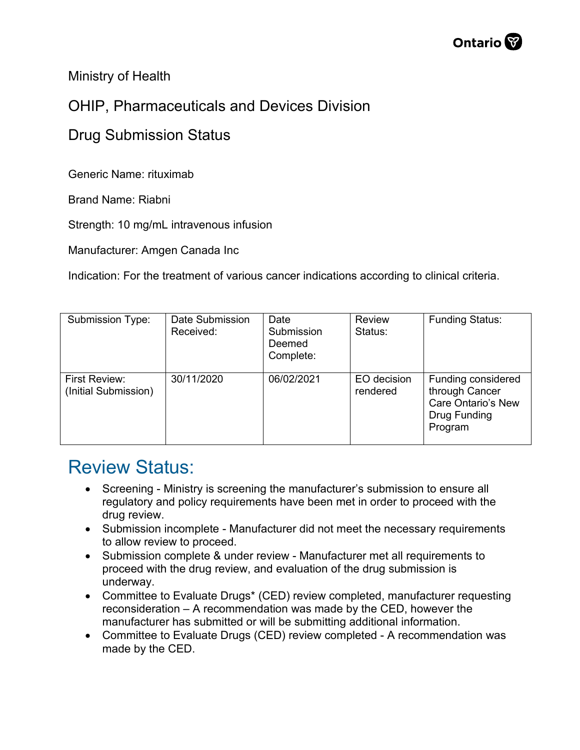Ministry of Health

## OHIP, Pharmaceuticals and Devices Division

## Drug Submission Status

Generic Name: rituximab

Brand Name: Riabni

Strength: 10 mg/mL intravenous infusion

Manufacturer: Amgen Canada Inc

Indication: For the treatment of various cancer indications according to clinical criteria.

| <b>Submission Type:</b>               | Date Submission<br>Received: | Date<br>Submission<br>Deemed<br>Complete: | <b>Review</b><br>Status: | <b>Funding Status:</b>                                                                       |
|---------------------------------------|------------------------------|-------------------------------------------|--------------------------|----------------------------------------------------------------------------------------------|
| First Review:<br>(Initial Submission) | 30/11/2020                   | 06/02/2021                                | EO decision<br>rendered  | Funding considered<br>through Cancer<br><b>Care Ontario's New</b><br>Drug Funding<br>Program |

## Review Status:

- Screening Ministry is screening the manufacturer's submission to ensure all regulatory and policy requirements have been met in order to proceed with the drug review.
- Submission incomplete Manufacturer did not meet the necessary requirements to allow review to proceed.
- Submission complete & under review Manufacturer met all requirements to proceed with the drug review, and evaluation of the drug submission is underway.
- Committee to Evaluate Drugs\* (CED) review completed, manufacturer requesting reconsideration – A recommendation was made by the CED, however the manufacturer has submitted or will be submitting additional information.
- Committee to Evaluate Drugs (CED) review completed A recommendation was made by the CED.